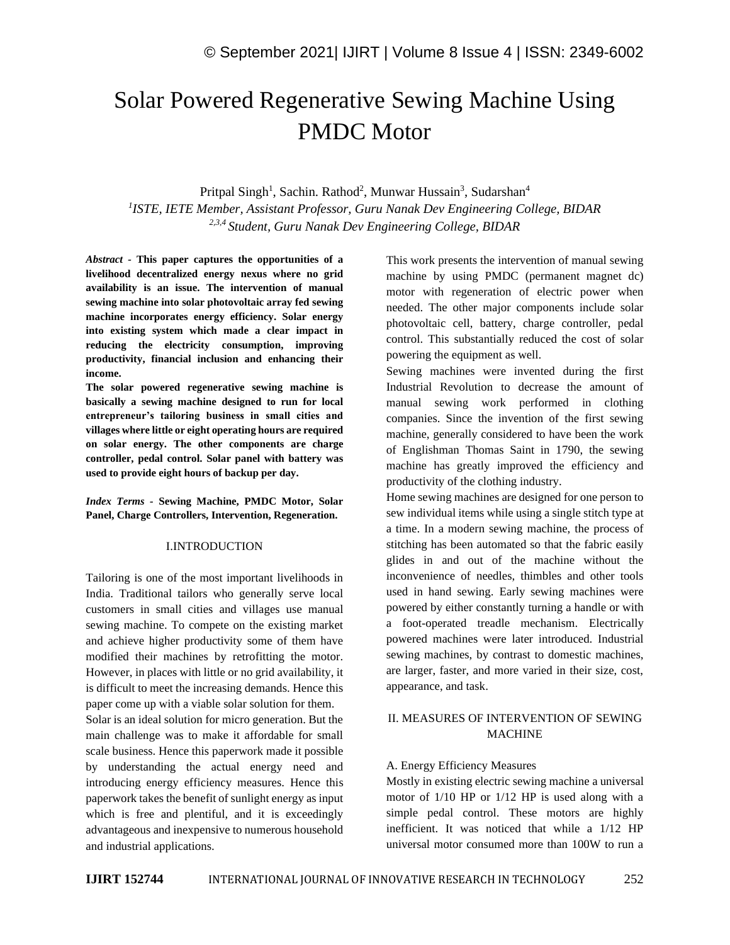# Solar Powered Regenerative Sewing Machine Using PMDC Motor

Pritpal Singh<sup>1</sup>, Sachin. Rathod<sup>2</sup>, Munwar Hussain<sup>3</sup>, Sudarshan<sup>4</sup> *1 ISTE, IETE Member, Assistant Professor, Guru Nanak Dev Engineering College, BIDAR 2,3,4 Student, Guru Nanak Dev Engineering College, BIDAR*

*Abstract -* **This paper captures the opportunities of a livelihood decentralized energy nexus where no grid availability is an issue. The intervention of manual sewing machine into solar photovoltaic array fed sewing machine incorporates energy efficiency. Solar energy into existing system which made a clear impact in reducing the electricity consumption, improving productivity, financial inclusion and enhancing their income.** 

**The solar powered regenerative sewing machine is basically a sewing machine designed to run for local entrepreneur's tailoring business in small cities and villages where little or eight operating hours are required on solar energy. The other components are charge controller, pedal control. Solar panel with battery was used to provide eight hours of backup per day.**

*Index Terms -* **Sewing Machine, PMDC Motor, Solar Panel, Charge Controllers, Intervention, Regeneration.**

# I.INTRODUCTION

Tailoring is one of the most important livelihoods in India. Traditional tailors who generally serve local customers in small cities and villages use manual sewing machine. To compete on the existing market and achieve higher productivity some of them have modified their machines by retrofitting the motor. However, in places with little or no grid availability, it is difficult to meet the increasing demands. Hence this paper come up with a viable solar solution for them.

Solar is an ideal solution for micro generation. But the main challenge was to make it affordable for small scale business. Hence this paperwork made it possible by understanding the actual energy need and introducing energy efficiency measures. Hence this paperwork takes the benefit of sunlight energy as input which is free and plentiful, and it is exceedingly advantageous and inexpensive to numerous household and industrial applications.

This work presents the intervention of manual sewing machine by using PMDC (permanent magnet dc) motor with regeneration of electric power when needed. The other major components include solar photovoltaic cell, battery, charge controller, pedal control. This substantially reduced the cost of solar powering the equipment as well.

Sewing machines were invented during the first Industrial Revolution to decrease the amount of manual sewing work performed in clothing companies. Since the invention of the first sewing machine, generally considered to have been the work of Englishman Thomas Saint in 1790, the sewing machine has greatly improved the efficiency and productivity of the clothing industry.

Home sewing machines are designed for one person to sew individual items while using a single stitch type at a time. In a modern sewing machine, the process of stitching has been automated so that the fabric easily glides in and out of the machine without the inconvenience of needles, thimbles and other tools used in hand sewing. Early sewing machines were powered by either constantly turning a handle or with a foot-operated treadle mechanism. Electrically powered machines were later introduced. Industrial sewing machines, by contrast to domestic machines, are larger, faster, and more varied in their size, cost, appearance, and task.

# II. MEASURES OF INTERVENTION OF SEWING MACHINE

## A. Energy Efficiency Measures

Mostly in existing electric sewing machine a universal motor of 1/10 HP or 1/12 HP is used along with a simple pedal control. These motors are highly inefficient. It was noticed that while a 1/12 HP universal motor consumed more than 100W to run a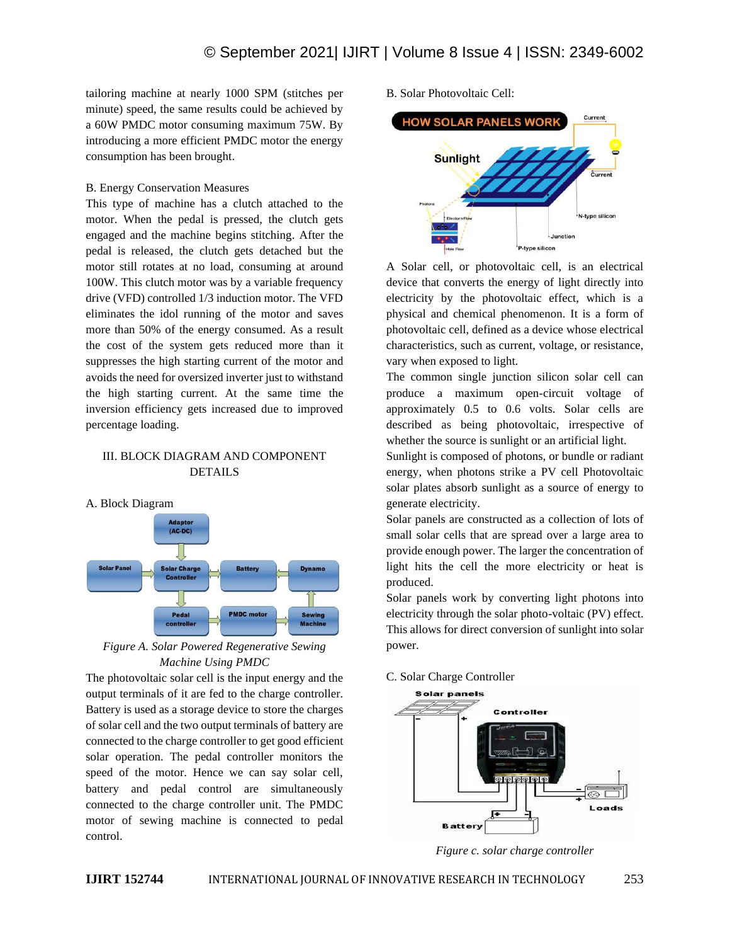tailoring machine at nearly 1000 SPM (stitches per minute) speed, the same results could be achieved by a 60W PMDC motor consuming maximum 75W. By introducing a more efficient PMDC motor the energy consumption has been brought.

## B. Energy Conservation Measures

This type of machine has a clutch attached to the motor. When the pedal is pressed, the clutch gets engaged and the machine begins stitching. After the pedal is released, the clutch gets detached but the motor still rotates at no load, consuming at around 100W. This clutch motor was by a variable frequency drive (VFD) controlled 1/3 induction motor. The VFD eliminates the idol running of the motor and saves more than 50% of the energy consumed. As a result the cost of the system gets reduced more than it suppresses the high starting current of the motor and avoids the need for oversized inverter just to withstand the high starting current. At the same time the inversion efficiency gets increased due to improved percentage loading.

# III. BLOCK DIAGRAM AND COMPONENT DETAILS





*Figure A. Solar Powered Regenerative Sewing Machine Using PMDC*

The photovoltaic solar cell is the input energy and the output terminals of it are fed to the charge controller. Battery is used as a storage device to store the charges of solar cell and the two output terminals of battery are connected to the charge controller to get good efficient solar operation. The pedal controller monitors the speed of the motor. Hence we can say solar cell, battery and pedal control are simultaneously connected to the charge controller unit. The PMDC motor of sewing machine is connected to pedal control.

B. Solar Photovoltaic Cell:



A Solar cell, or photovoltaic cell, is an electrical device that converts the energy of light directly into electricity by the photovoltaic effect, which is a physical and chemical phenomenon. It is a form of photovoltaic cell, defined as a device whose electrical characteristics, such as current, voltage, or resistance, vary when exposed to light.

The common single junction silicon solar cell can produce a maximum open-circuit voltage of approximately 0.5 to 0.6 volts. Solar cells are described as being photovoltaic, irrespective of whether the source is sunlight or an artificial light.

Sunlight is composed of photons, or bundle or radiant energy, when photons strike a PV cell Photovoltaic solar plates absorb sunlight as a source of energy to generate electricity.

Solar panels are constructed as a collection of lots of small solar cells that are spread over a large area to provide enough power. The larger the concentration of light hits the cell the more electricity or heat is produced.

Solar panels work by converting light photons into electricity through the solar photo-voltaic (PV) effect. This allows for direct conversion of sunlight into solar power.

## C. Solar Charge Controller



*Figure c. solar charge controller*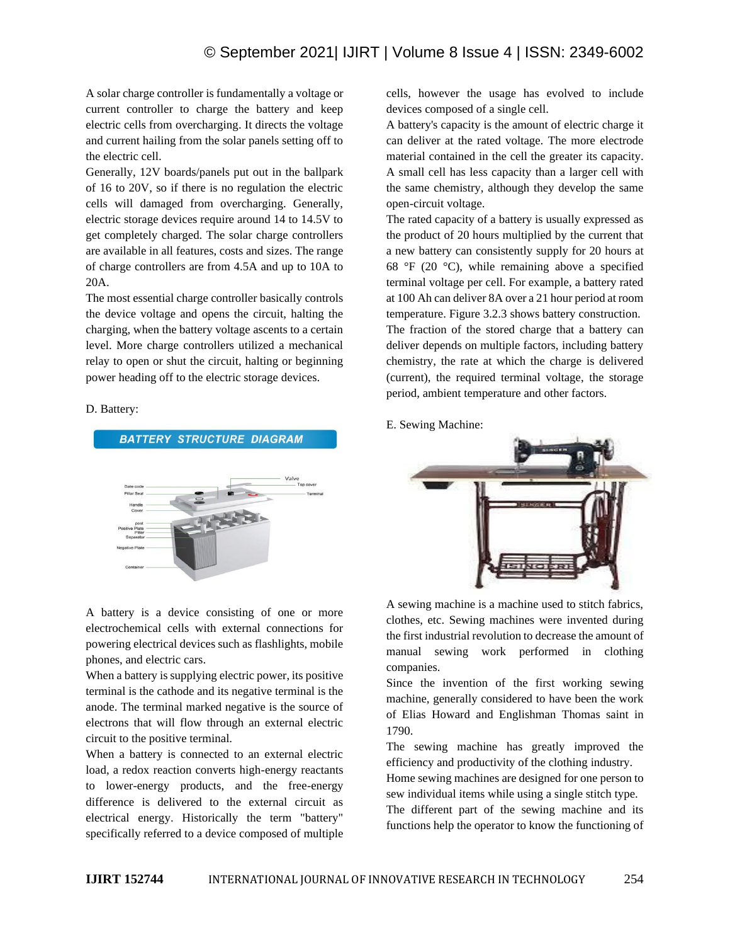A solar charge controller is fundamentally a voltage or current controller to charge the battery and keep electric cells from overcharging. It directs the voltage and current hailing from the solar panels setting off to the electric cell.

Generally, 12V boards/panels put out in the ballpark of 16 to 20V, so if there is no regulation the electric cells will damaged from overcharging. Generally, electric storage devices require around 14 to 14.5V to get completely charged. The solar charge controllers are available in all features, costs and sizes. The range of charge controllers are from 4.5A and up to 10A to 20A.

The most essential charge controller basically controls the device voltage and opens the circuit, halting the charging, when the battery voltage ascents to a certain level. More charge controllers utilized a mechanical relay to open or shut the circuit, halting or beginning power heading off to the electric storage devices.

## D. Battery:



A battery is a device consisting of one or more electrochemical cells with external connections for powering electrical devices such as flashlights, mobile phones, and electric cars.

When a battery is supplying electric power, its positive terminal is the cathode and its negative terminal is the anode. The terminal marked negative is the source of electrons that will flow through an external electric circuit to the positive terminal.

When a battery is connected to an external electric load, a redox reaction converts high-energy reactants to lower-energy products, and the free-energy difference is delivered to the external circuit as electrical energy. Historically the term "battery" specifically referred to a device composed of multiple cells, however the usage has evolved to include devices composed of a single cell.

A battery's capacity is the amount of electric charge it can deliver at the rated voltage. The more electrode material contained in the cell the greater its capacity. A small cell has less capacity than a larger cell with the same chemistry, although they develop the same open-circuit voltage.

The rated capacity of a battery is usually expressed as the product of 20 hours multiplied by the current that a new battery can consistently supply for 20 hours at 68 °F (20 °C), while remaining above a specified terminal voltage per cell. For example, a battery rated at 100 Ah can deliver 8A over a 21 hour period at room temperature. Figure 3.2.3 shows battery construction. The fraction of the stored charge that a battery can deliver depends on multiple factors, including battery chemistry, the rate at which the charge is delivered (current), the required terminal voltage, the storage period, ambient temperature and other factors.

E. Sewing Machine:



A sewing machine is a machine used to stitch fabrics, clothes, etc. Sewing machines were invented during the first industrial revolution to decrease the amount of manual sewing work performed in clothing companies.

Since the invention of the first working sewing machine, generally considered to have been the work of Elias Howard and Englishman Thomas saint in 1790.

The sewing machine has greatly improved the efficiency and productivity of the clothing industry.

Home sewing machines are designed for one person to sew individual items while using a single stitch type.

The different part of the sewing machine and its functions help the operator to know the functioning of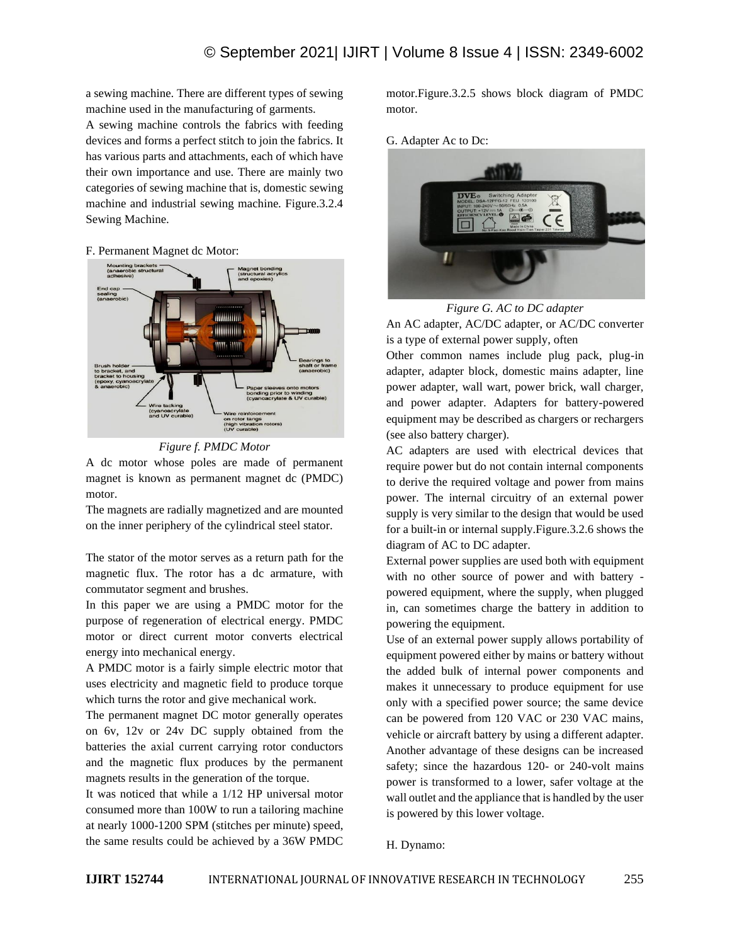a sewing machine. There are different types of sewing machine used in the manufacturing of garments.

A sewing machine controls the fabrics with feeding devices and forms a perfect stitch to join the fabrics. It has various parts and attachments, each of which have their own importance and use. There are mainly two categories of sewing machine that is, domestic sewing machine and industrial sewing machine. Figure.3.2.4 Sewing Machine.

## F. Permanent Magnet dc Motor:





A dc motor whose poles are made of permanent magnet is known as permanent magnet dc (PMDC) motor.

The magnets are radially magnetized and are mounted on the inner periphery of the cylindrical steel stator.

The stator of the motor serves as a return path for the magnetic flux. The rotor has a dc armature, with commutator segment and brushes.

In this paper we are using a PMDC motor for the purpose of regeneration of electrical energy. PMDC motor or direct current motor converts electrical energy into mechanical energy.

A PMDC motor is a fairly simple electric motor that uses electricity and magnetic field to produce torque which turns the rotor and give mechanical work.

The permanent magnet DC motor generally operates on 6v, 12v or 24v DC supply obtained from the batteries the axial current carrying rotor conductors and the magnetic flux produces by the permanent magnets results in the generation of the torque.

It was noticed that while a 1/12 HP universal motor consumed more than 100W to run a tailoring machine at nearly 1000-1200 SPM (stitches per minute) speed, the same results could be achieved by a 36W PMDC motor.Figure.3.2.5 shows block diagram of PMDC motor.

G. Adapter Ac to Dc:



*Figure G. AC to DC adapter* An AC adapter, AC/DC adapter, or AC/DC converter is a type of external power supply, often

Other common names include plug pack, plug-in adapter, adapter block, domestic mains adapter, line power adapter, wall wart, power brick, wall charger, and power adapter. Adapters for battery-powered equipment may be described as chargers or rechargers (see also battery charger).

AC adapters are used with electrical devices that require power but do not contain internal components to derive the required voltage and power from mains power. The internal circuitry of an external power supply is very similar to the design that would be used for a built-in or internal supply.Figure.3.2.6 shows the diagram of AC to DC adapter.

External power supplies are used both with equipment with no other source of power and with battery powered equipment, where the supply, when plugged in, can sometimes charge the battery in addition to powering the equipment.

Use of an external power supply allows portability of equipment powered either by mains or battery without the added bulk of internal power components and makes it unnecessary to produce equipment for use only with a specified power source; the same device can be powered from 120 VAC or 230 VAC mains, vehicle or aircraft battery by using a different adapter. Another advantage of these designs can be increased safety; since the hazardous 120- or 240-volt mains power is transformed to a lower, safer voltage at the wall outlet and the appliance that is handled by the user is powered by this lower voltage.

H. Dynamo: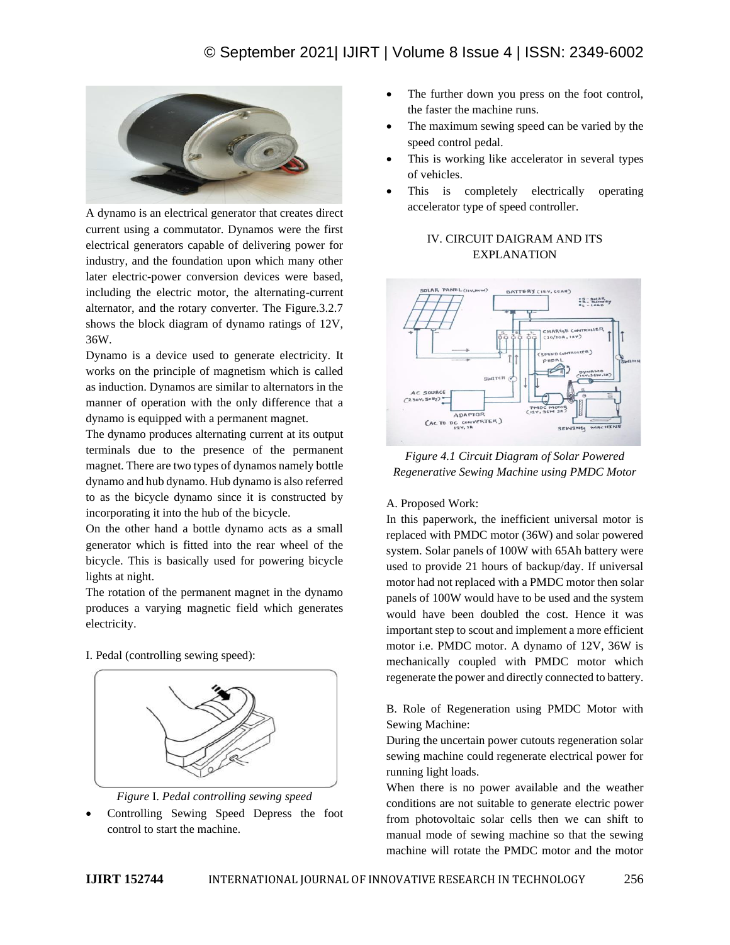

A dynamo is an electrical generator that creates direct current using a commutator. Dynamos were the first electrical generators capable of delivering power for industry, and the foundation upon which many other later electric-power conversion devices were based, including the electric motor, the alternating-current alternator, and the rotary converter. The Figure.3.2.7 shows the block diagram of dynamo ratings of 12V, 36W.

Dynamo is a device used to generate electricity. It works on the principle of magnetism which is called as induction. Dynamos are similar to alternators in the manner of operation with the only difference that a dynamo is equipped with a permanent magnet.

The dynamo produces alternating current at its output terminals due to the presence of the permanent magnet. There are two types of dynamos namely bottle dynamo and hub dynamo. Hub dynamo is also referred to as the bicycle dynamo since it is constructed by incorporating it into the hub of the bicycle.

On the other hand a bottle dynamo acts as a small generator which is fitted into the rear wheel of the bicycle. This is basically used for powering bicycle lights at night.

The rotation of the permanent magnet in the dynamo produces a varying magnetic field which generates electricity.

I. Pedal (controlling sewing speed):





• Controlling Sewing Speed Depress the foot control to start the machine.

- The further down you press on the foot control, the faster the machine runs.
- The maximum sewing speed can be varied by the speed control pedal.
- This is working like accelerator in several types of vehicles.
- This is completely electrically operating accelerator type of speed controller.

# IV. CIRCUIT DAIGRAM AND ITS EXPLANATION



*Figure 4.1 Circuit Diagram of Solar Powered Regenerative Sewing Machine using PMDC Motor*

# A. Proposed Work:

In this paperwork, the inefficient universal motor is replaced with PMDC motor (36W) and solar powered system. Solar panels of 100W with 65Ah battery were used to provide 21 hours of backup/day. If universal motor had not replaced with a PMDC motor then solar panels of 100W would have to be used and the system would have been doubled the cost. Hence it was important step to scout and implement a more efficient motor i.e. PMDC motor. A dynamo of 12V, 36W is mechanically coupled with PMDC motor which regenerate the power and directly connected to battery.

B. Role of Regeneration using PMDC Motor with Sewing Machine:

During the uncertain power cutouts regeneration solar sewing machine could regenerate electrical power for running light loads.

When there is no power available and the weather conditions are not suitable to generate electric power from photovoltaic solar cells then we can shift to manual mode of sewing machine so that the sewing machine will rotate the PMDC motor and the motor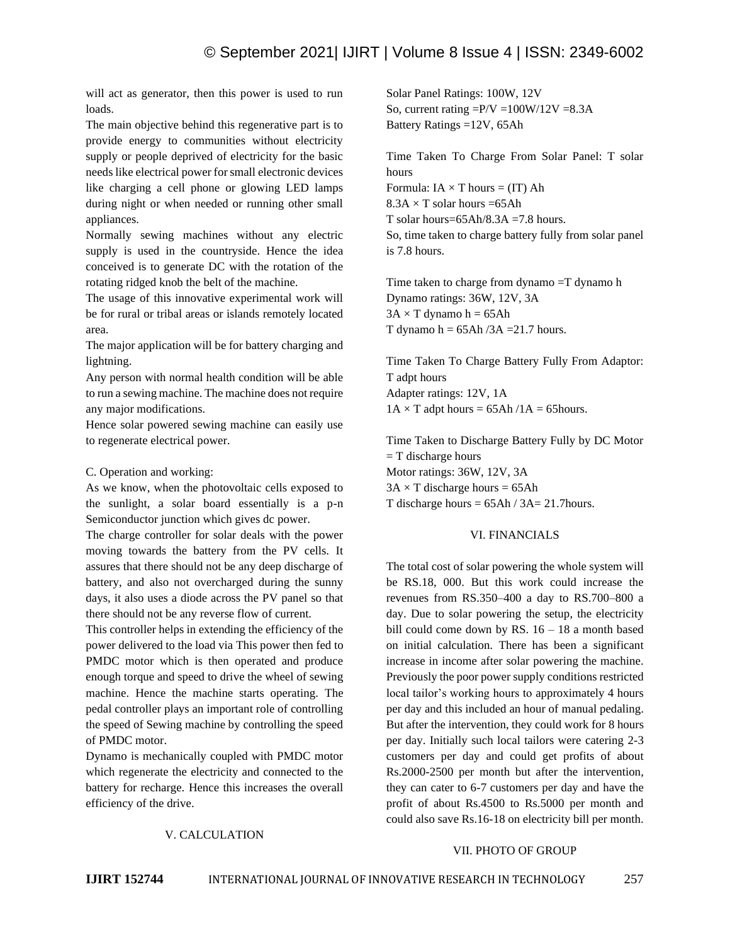will act as generator, then this power is used to run loads.

The main objective behind this regenerative part is to provide energy to communities without electricity supply or people deprived of electricity for the basic needs like electrical power for small electronic devices like charging a cell phone or glowing LED lamps during night or when needed or running other small appliances.

Normally sewing machines without any electric supply is used in the countryside. Hence the idea conceived is to generate DC with the rotation of the rotating ridged knob the belt of the machine.

The usage of this innovative experimental work will be for rural or tribal areas or islands remotely located area.

The major application will be for battery charging and lightning.

Any person with normal health condition will be able to run a sewing machine. The machine does not require any major modifications.

Hence solar powered sewing machine can easily use to regenerate electrical power.

## C. Operation and working:

As we know, when the photovoltaic cells exposed to the sunlight, a solar board essentially is a p-n Semiconductor junction which gives dc power.

The charge controller for solar deals with the power moving towards the battery from the PV cells. It assures that there should not be any deep discharge of battery, and also not overcharged during the sunny days, it also uses a diode across the PV panel so that there should not be any reverse flow of current.

This controller helps in extending the efficiency of the power delivered to the load via This power then fed to PMDC motor which is then operated and produce enough torque and speed to drive the wheel of sewing machine. Hence the machine starts operating. The pedal controller plays an important role of controlling the speed of Sewing machine by controlling the speed of PMDC motor.

Dynamo is mechanically coupled with PMDC motor which regenerate the electricity and connected to the battery for recharge. Hence this increases the overall efficiency of the drive.

Solar Panel Ratings: 100W, 12V So, current rating  $=$ P/V  $=$ 100W/12V  $=$ 8.3A Battery Ratings =12V, 65Ah

Time Taken To Charge From Solar Panel: T solar hours Formula:  $IA \times T$  hours = (IT) Ah  $8.3A \times T$  solar hours =65Ah T solar hours= $65Ah/8.3A = 7.8$  hours. So, time taken to charge battery fully from solar panel is 7.8 hours.

Time taken to charge from dynamo =T dynamo h Dynamo ratings: 36W, 12V, 3A  $3A \times T$  dynamo h = 65Ah T dynamo  $h = 65Ah/3A = 21.7 hours$ .

Time Taken To Charge Battery Fully From Adaptor: T adpt hours Adapter ratings: 12V, 1A  $1A \times T$  adpt hours = 65Ah / $1A = 65$ hours.

Time Taken to Discharge Battery Fully by DC Motor  $=$  T discharge hours Motor ratings: 36W, 12V, 3A  $3A \times T$  discharge hours = 65Ah T discharge hours  $= 65Ah / 3A = 21.7$ hours.

# VI. FINANCIALS

The total cost of solar powering the whole system will be RS.18, 000. But this work could increase the revenues from RS.350–400 a day to RS.700–800 a day. Due to solar powering the setup, the electricity bill could come down by RS.  $16 - 18$  a month based on initial calculation. There has been a significant increase in income after solar powering the machine. Previously the poor power supply conditions restricted local tailor's working hours to approximately 4 hours per day and this included an hour of manual pedaling. But after the intervention, they could work for 8 hours per day. Initially such local tailors were catering 2-3 customers per day and could get profits of about Rs.2000-2500 per month but after the intervention, they can cater to 6-7 customers per day and have the profit of about Rs.4500 to Rs.5000 per month and could also save Rs.16-18 on electricity bill per month.

## V. CALCULATION

#### VII. PHOTO OF GROUP